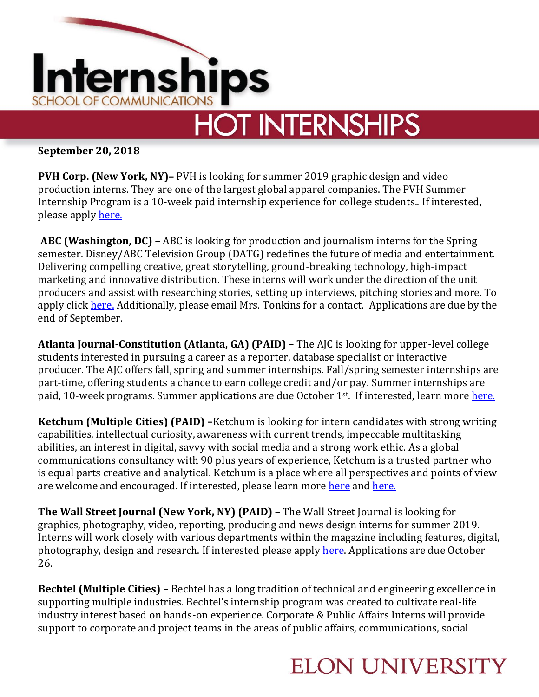

## **HOT INTERNSHIPS**

**September 20, 2018**

**PVH Corp. (New York, NY)–** PVH is looking for summer 2019 graphic design and video production interns. They are one of the largest global apparel companies. The PVH Summer Internship Program is a 10-week paid internship experience for college students.. If interested, please apply [here.](https://www.linkedin.com/jobs/view/859966563/)

**ABC (Washington, DC) –** ABC is looking for production and journalism interns for the Spring semester. Disney/ABC Television Group (DATG) redefines the future of media and entertainment. Delivering compelling creative, great storytelling, ground-breaking technology, high-impact marketing and innovative distribution. These interns will work under the direction of the unit producers and assist with researching stories, setting up interviews, pitching stories and more. To apply click [here.](https://jobs.disneycareers.com/search-jobs?k=Intern&alp=6252001-4138106&alt=3) Additionally, please email Mrs. Tonkins for a contact. Applications are due by the end of September.

**Atlanta Journal-Constitution (Atlanta, GA) (PAID) –** The AJC is looking for upper-level college students interested in pursuing a career as a reporter, database specialist or interactive producer. The AJC offers fall, spring and summer internships. Fall/spring semester internships are part-time, offering students a chance to earn college credit and/or pay. Summer internships are paid, 10-week programs. Summer applications are due October 1<sup>st</sup>. If interested, learn more [here.](http://internships.ajc.com/)

**Ketchum (Multiple Cities) (PAID) –**Ketchum is looking for intern candidates with strong writing capabilities, intellectual curiosity, awareness with current trends, impeccable multitasking abilities, an interest in digital, savvy with social media and a strong work ethic. As a global communications consultancy with 90 plus years of experience, Ketchum is a trusted partner who is equal parts creative and analytical. Ketchum is a place where all perspectives and points of view are welcome and encouraged. If interested, please learn more [here](https://www.ketchum.com/fellows-internships/) and [here.](https://careers-ketchum.icims.com/jobs/9763/student-intern%2c-corporate-communications/job)

**The Wall Street Journal (New York, NY) (PAID) –** The Wall Street Journal is looking for graphics, photography, video, reporting, producing and news design interns for summer 2019. Interns will work closely with various departments within the magazine including features, digital, photography, design and research. If interested please apply [here.](https://dowjones-internships.jobs/) Applications are due October 26.

**Bechtel (Multiple Cities) –** Bechtel has a long tradition of technical and engineering excellence in supporting multiple industries. Bechtel's internship program was created to cultivate real-life industry interest based on hands-on experience. Corporate & Public Affairs Interns will provide support to corporate and project teams in the areas of public affairs, communications, social

## **ELON UNIVERSITY**